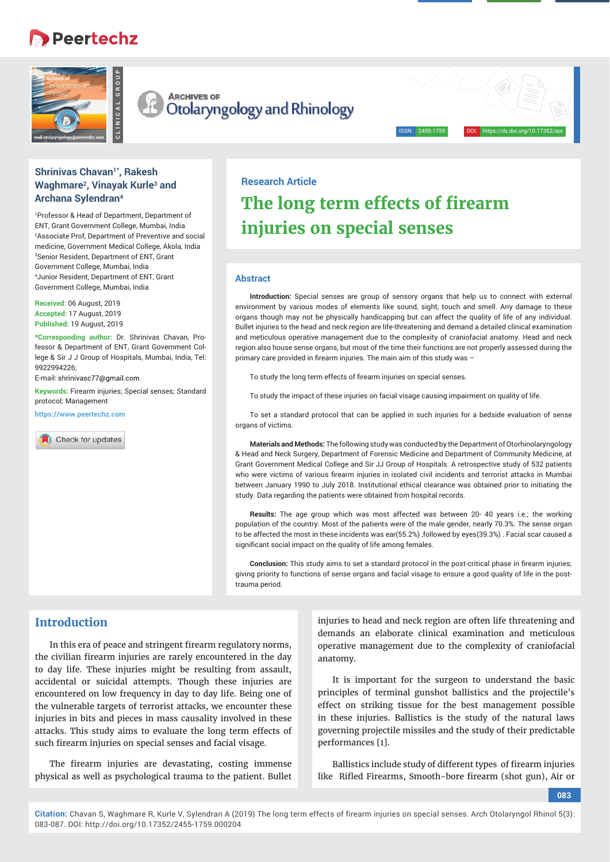# Peertechz



**ARCHIVES OF** Otolaryngology and Rhinology

## Shrinivas Chavan<sup>1\*</sup>, Rakesh **Waghmare2, Vinayak Kurle3 and Archana Sylendran4**

1 Professor & Head of Department, Department of ENT, Grant Government College, Mumbai, India 2 Associate Prof, Department of Preventive and social medicine, Government Medical College, Akola, India 3 Senior Resident, Department of ENT, Grant Government College, Mumbai, India 4 Junior Resident, Department of ENT, Grant Government College, Mumbai, India

**Received:** 06 August, 2019 **Accepted:** 17 August, 2019 **Published:** 19 August, 2019

**\*Corresponding author:** Dr. Shrinivas Chavan, Professor & Department of ENT, Grant Government College & Sir J J Group of Hospitals, Mumbai, India, Tel: 9922994226;

E-mail: shrinivasc77@gmail.com

**Keywords:** Firearm injuries; Special senses; Standard protocol; Management

**https://www.peertechz.com**



## **Research Article**

# **The long term effects of firearm injuries on special senses**

### **Abstract**

**Introduction:** Special senses are group of sensory organs that help us to connect with external environment by various modes of elements like sound, sight, touch and smell. Any damage to these organs though may not be physically handicapping but can affect the quality of life of any individual. Bullet injuries to the head and neck region are life-threatening and demand a detailed clinical examination and meticulous operative management due to the complexity of craniofacial anatomy. Head and neck region also house sense organs, but most of the time their functions are not properly assessed during the primary care provided in firearm injuries. The main aim of this study was -

ISSN: 2455-1759 DOI: https://dx.doi.org/10.17352/aor

To study the long term effects of firearm injuries on special senses.

To study the impact of these injuries on facial visage causing impairment on quality of life.

To set a standard protocol that can be applied in such injuries for a bedside evaluation of sense organs of victims.

**Materials and Methods:** The following study was conducted by the Department of Otorhinolaryngology & Head and Neck Surgery, Department of Forensic Medicine and Department of Community Medicine, at Grant Government Medical College and Sir JJ Group of Hospitals. A retrospective study of 532 patients who were victims of various firearm injuries in isolated civil incidents and terrorist attacks in Mumbai between January 1990 to July 2018. Institutional ethical clearance was obtained prior to initiating the study. Data regarding the patients were obtained from hospital records.

**Results:** The age group which was most affected was between 20- 40 years i.e.; the working population of the country. Most of the patients were of the male gender, nearly 70.3%. The sense organ to be affected the most in these incidents was ear(55.2%) ,followed by eyes(39.3%) . Facial scar caused a significant social impact on the quality of life among females.

**Conclusion:** This study aims to set a standard protocol in the post-critical phase in firearm injuries; giving priority to functions of sense organs and facial visage to ensure a good quality of life in the posttrauma period.

# **Introduction**

In this era of peace and stringent firearm regulatory norms, the civilian firearm injuries are rarely encountered in the day to day life. These injuries might be resulting from assault, accidental or suicidal attempts. Though these injuries are encountered on low frequency in day to day life. Being one of the vulnerable targets of terrorist attacks, we encounter these injuries in bits and pieces in mass causality involved in these attacks. This study aims to evaluate the long term effects of such firearm injuries on special senses and facial visage.

The firearm injuries are devastating, costing immense physical as well as psychological trauma to the patient. Bullet

injuries to head and neck region are often life threatening and demands an elaborate clinical examination and meticulous operative management due to the complexity of craniofacial anatomy.

It is important for the surgeon to understand the basic principles of terminal gunshot ballistics and the projectile's effect on striking tissue for the best management possible in these injuries. Ballistics is the study of the natural laws governing projectile missiles and the study of their predictable performances [1].

Ballistics include study of different types of firearm injuries like Rifled Firearms, Smooth-bore firearm (shot gun), Air or

**083**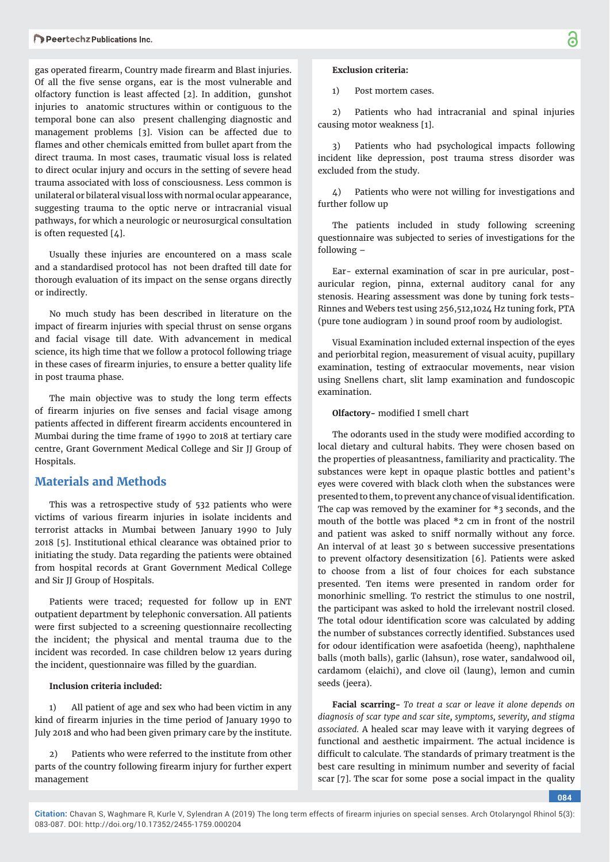gas operated firearm, Country made firearm and Blast injuries. Of all the five sense organs, ear is the most vulnerable and olfactory function is least affected [2]. In addition, gunshot injuries to anatomic structures within or contiguous to the temporal bone can also present challenging diagnostic and management problems [3]. Vision can be affected due to flames and other chemicals emitted from bullet apart from the direct trauma. In most cases, traumatic visual loss is related to direct ocular injury and occurs in the setting of severe head trauma associated with loss of consciousness. Less common is unilateral or bilateral visual loss with normal ocular appearance, suggesting trauma to the optic nerve or intracranial visual pathways, for which a neurologic or neurosurgical consultation is often requested [4].

Usually these injuries are encountered on a mass scale and a standardised protocol has not been drafted till date for thorough evaluation of its impact on the sense organs directly or indirectly.

No much study has been described in literature on the impact of firearm injuries with special thrust on sense organs and facial visage till date. With advancement in medical science, its high time that we follow a protocol following triage in these cases of firearm injuries, to ensure a better quality life in post trauma phase.

The main objective was to study the long term effects of firearm injuries on five senses and facial visage among patients affected in different firearm accidents encountered in Mumbai during the time frame of 1990 to 2018 at tertiary care centre, Grant Government Medical College and Sir JJ Group of Hospitals.

## **Materials and Methods**

This was a retrospective study of 532 patients who were victims of various firearm injuries in isolate incidents and terrorist attacks in Mumbai between January 1990 to July 2018 [5]. Institutional ethical clearance was obtained prior to initiating the study. Data regarding the patients were obtained from hospital records at Grant Government Medical College and Sir JJ Group of Hospitals.

Patients were traced; requested for follow up in ENT outpatient department by telephonic conversation. All patients were first subjected to a screening questionnaire recollecting the incident; the physical and mental trauma due to the incident was recorded. In case children below 12 years during the incident, questionnaire was filled by the guardian.

#### **Inclusion criteria included:**

1) All patient of age and sex who had been victim in any kind of firearm injuries in the time period of January 1990 to July 2018 and who had been given primary care by the institute.

2) Patients who were referred to the institute from other parts of the country following firearm injury for further expert management

### **Exclusion criteria:**

1) Post mortem cases.

2) Patients who had intracranial and spinal injuries causing motor weakness [1].

3) Patients who had psychological impacts following incident like depression, post trauma stress disorder was excluded from the study.

4) Patients who were not willing for investigations and further follow up

The patients included in study following screening questionnaire was subjected to series of investigations for the following –

Ear- external examination of scar in pre auricular, postauricular region, pinna, external auditory canal for any stenosis. Hearing assessment was done by tuning fork tests-Rinnes and Webers test using 256,512,1024 Hz tuning fork, PTA (pure tone audiogram ) in sound proof room by audiologist.

Visual Examination included external inspection of the eyes and periorbital region, measurement of visual acuity, pupillary examination, testing of extraocular movements, near vision using Snellens chart, slit lamp examination and fundoscopic examination.

**Olfactory-** modified I smell chart

The odorants used in the study were modified according to local dietary and cultural habits. They were chosen based on the properties of pleasantness, familiarity and practicality. The substances were kept in opaque plastic bottles and patient's eyes were covered with black cloth when the substances were presented to them, to prevent any chance of visual identification. The cap was removed by the examiner for \*3 seconds, and the mouth of the bottle was placed \*2 cm in front of the nostril and patient was asked to sniff normally without any force. An interval of at least 30 s between successive presentations to prevent olfactory desensitization [6]. Patients were asked to choose from a list of four choices for each substance presented. Ten items were presented in random order for monorhinic smelling. To restrict the stimulus to one nostril, the participant was asked to hold the irrelevant nostril closed. The total odour identification score was calculated by adding the number of substances correctly identified. Substances used for odour identification were asafoetida (heeng), naphthalene balls (moth balls), garlic (lahsun), rose water, sandalwood oil, cardamom (elaichi), and clove oil (laung), lemon and cumin seeds (jeera).

**Facial scarring-** *To treat a scar or leave it alone depends on diagnosis of scar type and scar site, symptoms, severity, and stigma associated.* A healed scar may leave with it varying degrees of functional and aesthetic impairment. The actual incidence is difficult to calculate. The standards of primary treatment is the best care resulting in minimum number and severity of facial scar [7]. The scar for some pose a social impact in the quality

**084**

**Citation:** Chavan S, Waghmare R, Kurle V, Sylendran A (2019) The long term effects of firearm injuries on special senses. Arch Otolaryngol Rhinol 5(3): 083-087. DOI: http://doi.org/10.17352/2455-1759.000204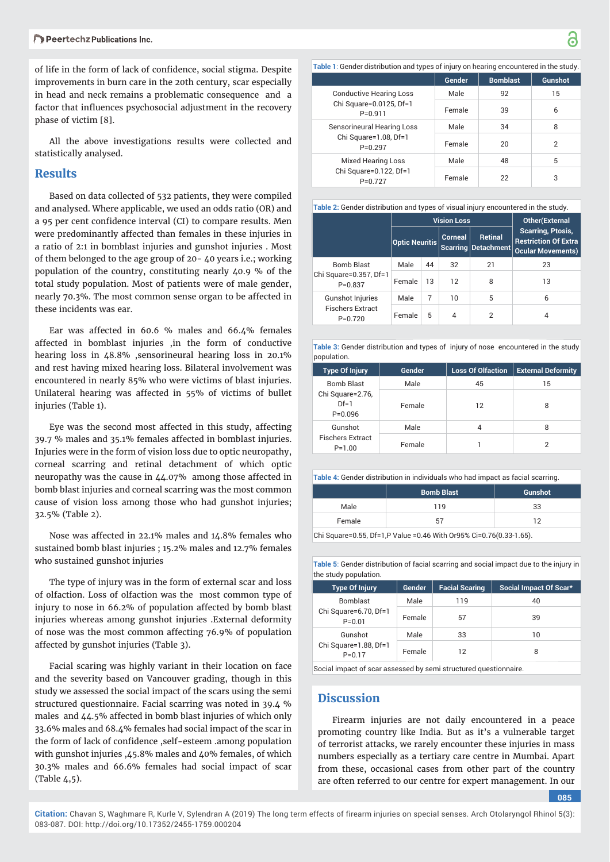of life in the form of lack of confidence, social stigma. Despite improvements in burn care in the 20th century, scar especially in head and neck remains a problematic consequence and a factor that influences psychosocial adjustment in the recovery phase of victim [8].

All the above investigations results were collected and statistically analysed.

## **Results**

Based on data collected of 532 patients, they were compiled and analysed. Where applicable, we used an odds ratio (OR) and a 95 per cent confidence interval (CI) to compare results. Men were predominantly affected than females in these injuries in a ratio of 2:1 in bomblast injuries and gunshot injuries . Most of them belonged to the age group of 20- 40 years i.e.; working population of the country, constituting nearly 40.9 % of the total study population. Most of patients were of male gender, nearly 70.3%. The most common sense organ to be affected in these incidents was ear.

Ear was affected in 60.6 % males and 66.4% females affected in bomblast injuries ,in the form of conductive hearing loss in 48.8% ,sensorineural hearing loss in 20.1% and rest having mixed hearing loss. Bilateral involvement was encountered in nearly 85% who were victims of blast injuries. Unilateral hearing was affected in 55% of victims of bullet injuries (Table 1).

Eye was the second most affected in this study, affecting 39.7 % males and 35.1% females affected in bomblast injuries. Injuries were in the form of vision loss due to optic neuropathy, corneal scarring and retinal detachment of which optic neuropathy was the cause in 44.07% among those affected in bomb blast injuries and corneal scarring was the most common cause of vision loss among those who had gunshot injuries; 32.5% (Table 2).

Nose was affected in 22.1% males and 14.8% females who sustained bomb blast injuries ; 15.2% males and 12.7% females who sustained gunshot injuries

The type of injury was in the form of external scar and loss of olfaction. Loss of olfaction was the most common type of injury to nose in 66.2% of population affected by bomb blast injuries whereas among gunshot injuries .External deformity of nose was the most common affecting 76.9% of population affected by gunshot injuries (Table 3).

Facial scaring was highly variant in their location on face and the severity based on Vancouver grading, though in this study we assessed the social impact of the scars using the semi structured questionnaire. Facial scarring was noted in 39.4 % males and 44.5% affected in bomb blast injuries of which only 33.6% males and 68.4% females had social impact of the scar in the form of lack of confidence ,self-esteem .among population with gunshot injuries ,45.8% males and 40% females, of which 30.3% males and 66.6% females had social impact of scar (Table 4,5).

**Table 1**: Gender distribution and types of injury on hearing encountered in the study.

|                                                                          | Gender | <b>Bomblast</b> | <b>Gunshot</b> |
|--------------------------------------------------------------------------|--------|-----------------|----------------|
| <b>Conductive Hearing Loss</b><br>Chi Square=0.0125, Df=1<br>$P = 0.911$ | Male   | 92              | 15             |
|                                                                          | Female | 39              | 6              |
| Sensorineural Hearing Loss<br>Chi Square=1.08, Df=1<br>$P = 0.297$       | Male   | 34              | 8              |
|                                                                          | Female | 20              | 2              |
| <b>Mixed Hearing Loss</b><br>Chi Square=0.122, Df=1<br>$P=0.727$         | Male   | 48              | 5              |
|                                                                          | Female | 22              | 3              |

**Table 2:** Gender distribution and types of visual injury encountered in the study.

|                                                                 | <b>Vision Loss</b>    |    |                | <b>Other</b> (External                  |                                                                                     |
|-----------------------------------------------------------------|-----------------------|----|----------------|-----------------------------------------|-------------------------------------------------------------------------------------|
|                                                                 | <b>Optic Neuritis</b> |    | <b>Corneal</b> | <b>Retinal</b><br>Scarring   Detachment | <b>Scarring, Ptosis,</b><br><b>Restriction Of Extra</b><br><b>Ocular Movements)</b> |
| <b>Bomb Blast</b><br>Chi Square=0.357, Df=1<br>$P=0.837$        | Male                  | 44 | 32             | 21                                      | 23                                                                                  |
|                                                                 | Female                | 13 | 12             | 8                                       | 13                                                                                  |
| <b>Gunshot Injuries</b><br><b>Fischers Extract</b><br>$P=0.720$ | Male                  | 7  | 10             | 5                                       | 6                                                                                   |
|                                                                 | Female                | 5  | 4              | $\overline{2}$                          |                                                                                     |

**Table 3:** Gender distribution and types of injury of nose encountered in the study population.

| population                                      |        |                          |                           |
|-------------------------------------------------|--------|--------------------------|---------------------------|
| <b>Type Of Injury</b>                           | Gender | <b>Loss Of Olfaction</b> | <b>External Deformity</b> |
| <b>Bomb Blast</b>                               | Male   | 45                       | 15                        |
| Chi Square=2.76,<br>$Df=1$<br>$P = 0.096$       | Female | 12                       | 8                         |
| Gunshot                                         | Male   | 4                        | 8                         |
| <b>Fischers Extract</b><br>Female<br>$P = 1.00$ |        |                          |                           |

**Table 4:** Gender distribution in individuals who had impact as facial scarring.

|        | <b>Bomb Blast</b> | <b>Gunshot</b> |  |
|--------|-------------------|----------------|--|
| Male   | 119               | 33             |  |
| Female | 57                | ר ד            |  |

 $Chi$  Square=0.55, Df=1,P Value =0.46 With Or95% Ci=0.76(0.33-1.65).

**Table 5**: Gender distribution of facial scarring and social impact due to the injury in the study population.

| <b>Type Of Injury</b>                                  | Gender | <b>Facial Scaring</b> | Social Impact Of Scar* |
|--------------------------------------------------------|--------|-----------------------|------------------------|
| <b>Bomblast</b><br>Chi Square=6.70, Df=1<br>$P = 0.01$ | Male   | 119                   | 40                     |
|                                                        | Female | 57                    | 39                     |
| Gunshot<br>Chi Square=1.88, Df=1<br>$P = 0.17$         | Male   | 33                    | 10                     |
|                                                        | Female | 12                    | 8                      |

Social impact of scar assessed by semi structured questionnaire.

## **Discussion**

Firearm injuries are not daily encountered in a peace promoting country like India. But as it's a vulnerable target of terrorist attacks, we rarely encounter these injuries in mass numbers especially as a tertiary care centre in Mumbai. Apart from these, occasional cases from other part of the country are often referred to our centre for expert management. In our

**085**

**Citation:** Chavan S, Waghmare R, Kurle V, Sylendran A (2019) The long term effects of firearm injuries on special senses. Arch Otolaryngol Rhinol 5(3): 083-087. DOI: http://doi.org/10.17352/2455-1759.000204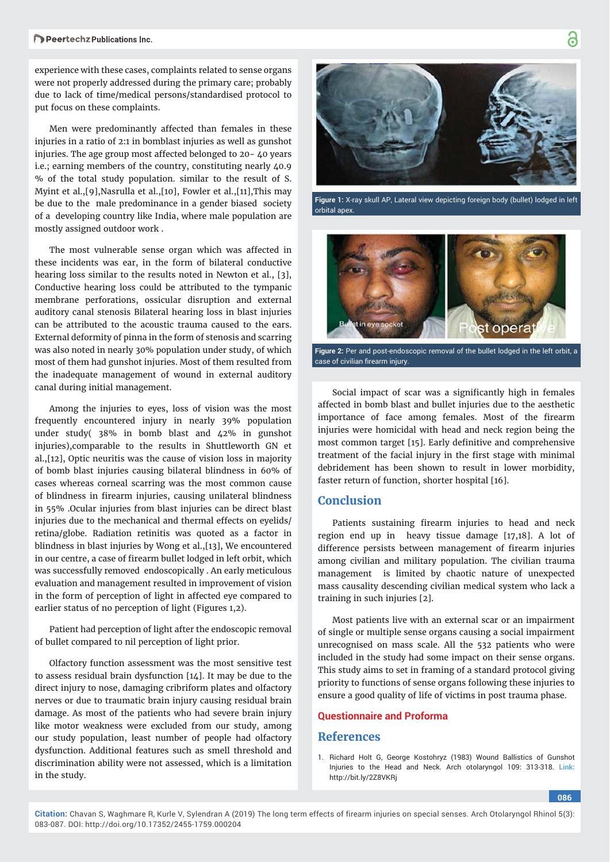experience with these cases, complaints related to sense organs were not properly addressed during the primary care; probably due to lack of time/medical persons/standardised protocol to put focus on these complaints.

Men were predominantly affected than females in these injuries in a ratio of 2:1 in bomblast injuries as well as gunshot injuries. The age group most affected belonged to 20- 40 years i.e.; earning members of the country, constituting nearly 40.9 % of the total study population. similar to the result of S. Myint et al.,[9],Nasrulla et al.,[10], Fowler et al.,[11],This may be due to the male predominance in a gender biased society of a developing country like India, where male population are mostly assigned outdoor work .

The most vulnerable sense organ which was affected in these incidents was ear, in the form of bilateral conductive hearing loss similar to the results noted in Newton et al., [3], Conductive hearing loss could be attributed to the tympanic membrane perforations, ossicular disruption and external auditory canal stenosis Bilateral hearing loss in blast injuries can be attributed to the acoustic trauma caused to the ears. External deformity of pinna in the form of stenosis and scarring was also noted in nearly 30% population under study, of which most of them had gunshot injuries. Most of them resulted from the inadequate management of wound in external auditory canal during initial management.

Among the injuries to eyes, loss of vision was the most frequently encountered injury in nearly 39% population under study( 38% in bomb blast and 42% in gunshot injuries),comparable to the results in Shuttleworth GN et al.,[12], Optic neuritis was the cause of vision loss in majority of bomb blast injuries causing bilateral blindness in 60% of cases whereas corneal scarring was the most common cause of blindness in firearm injuries, causing unilateral blindness in 55% .Ocular injuries from blast injuries can be direct blast injuries due to the mechanical and thermal effects on eyelids/ retina/globe. Radiation retinitis was quoted as a factor in blindness in blast injuries by Wong et al.,[13], We encountered in our centre, a case of firearm bullet lodged in left orbit, which was successfully removed endoscopically . An early meticulous evaluation and management resulted in improvement of vision in the form of perception of light in affected eye compared to earlier status of no perception of light (Figures 1,2).

Patient had perception of light after the endoscopic removal of bullet compared to nil perception of light prior.

Olfactory function assessment was the most sensitive test to assess residual brain dysfunction [14]. It may be due to the direct injury to nose, damaging cribriform plates and olfactory nerves or due to traumatic brain injury causing residual brain damage. As most of the patients who had severe brain injury like motor weakness were excluded from our study, among our study population, least number of people had olfactory dysfunction. Additional features such as smell threshold and discrimination ability were not assessed, which is a limitation in the study.



**Figure 1:** X-ray skull AP, Lateral view depicting foreign body (bullet) lodged in left orbital apex.



**Figure 2:** Per and post-endoscopic removal of the bullet lodged in the left orbit, a case of civilian firearm injury

Social impact of scar was a significantly high in females affected in bomb blast and bullet injuries due to the aesthetic importance of face among females. Most of the firearm injuries were homicidal with head and neck region being the most common target [15]. Early definitive and comprehensive treatment of the facial injury in the first stage with minimal debridement has been shown to result in lower morbidity, faster return of function, shorter hospital [16].

# **Conclusion**

Patients sustaining firearm injuries to head and neck region end up in heavy tissue damage [17,18]. A lot of difference persists between management of firearm injuries among civilian and military population. The civilian trauma management is limited by chaotic nature of unexpected mass causality descending civilian medical system who lack a training in such injuries [2].

Most patients live with an external scar or an impairment of single or multiple sense organs causing a social impairment unrecognised on mass scale. All the 532 patients who were included in the study had some impact on their sense organs. This study aims to set in framing of a standard protocol giving priority to functions of sense organs following these injuries to ensure a good quality of life of victims in post trauma phase.

## **[Questionnaire and Proforma](https://www.peertechz.com/uploads/art_addfiles_2388.rar)**

## **References**

1. Richard Holt G, George Kostohryz (1983) Wound Ballistics of Gunshot Injuries to the Head and Neck. Arch otolaryngol 109: 313-318. **Link:** http://bit.ly/2Z8VKRj

**086**